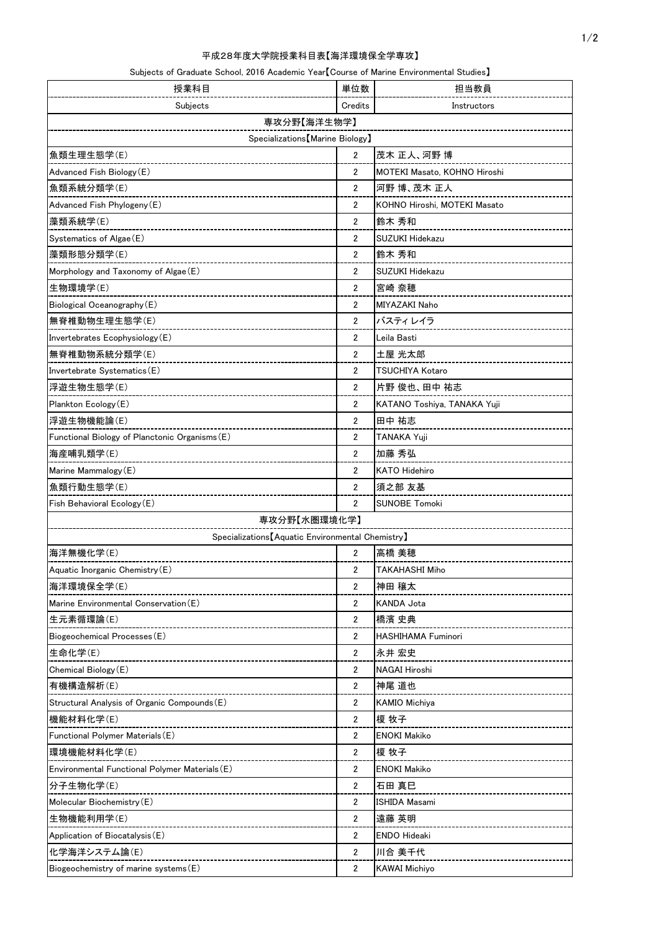|  | Subjects of Graduate School, 2016 Academic Year【Course of Marine Environmental Studies】 |  |  |
|--|-----------------------------------------------------------------------------------------|--|--|
|--|-----------------------------------------------------------------------------------------|--|--|

| 授業科目                                              |                | 担当教員                         |
|---------------------------------------------------|----------------|------------------------------|
| Subjects                                          |                | Instructors                  |
| 専攻分野【海洋生物学】                                       |                |                              |
| Specializations [Marine Biology]                  |                |                              |
| 魚類生理生態学(E)                                        | $\overline{2}$ | 茂木 正人、河野 博                   |
| Advanced Fish Biology (E)                         | $\overline{2}$ | MOTEKI Masato, KOHNO Hiroshi |
| 魚類系統分類学(E)                                        | $\overline{2}$ | 河野 博、茂木 正人                   |
| Advanced Fish Phylogeny (E)                       | $\overline{2}$ | KOHNO Hiroshi, MOTEKI Masato |
| 藻類系統学(E)                                          | $\overline{2}$ | 鈴木 秀和                        |
| Systematics of Algae (E)                          | $\overline{2}$ | <b>SUZUKI Hidekazu</b>       |
| 藻類形態分類学(E)                                        | $\overline{2}$ | 鈴木 秀和                        |
| Morphology and Taxonomy of Algae (E)              | $\overline{2}$ | <b>SUZUKI Hidekazu</b>       |
| 生物環境学(E)                                          | $\overline{2}$ | 宮崎 奈穂                        |
| Biological Oceanography (E)                       | $\overline{2}$ | MIYAZAKI Naho                |
| 無脊椎動物生理生態学(E)                                     | $\overline{2}$ | バスティレイラ                      |
| Invertebrates Ecophysiology (E)                   | $\overline{2}$ | Leila Basti                  |
| 無脊椎動物系統分類学(E)                                     | $\overline{2}$ | 土屋 光太郎                       |
| Invertebrate Systematics (E)                      | $\overline{2}$ | TSUCHIYA Kotaro              |
| 浮遊生物生態学(E)                                        | $\overline{2}$ | 片野 俊也、田中 祐志                  |
| Plankton Ecology (E)                              | $\overline{2}$ | KATANO Toshiya, TANAKA Yuji  |
| 浮遊生物機能論(E)                                        | $\overline{2}$ | 田中 祐志                        |
| Functional Biology of Planctonic Organisms (E)    | $\overline{2}$ | TANAKA Yuji                  |
| 海産哺乳類学(E)                                         | $\overline{2}$ | 加藤 秀弘                        |
| Marine Mammalogy (E)                              | $\overline{2}$ | <b>KATO Hidehiro</b>         |
| 魚類行動生態学(E)                                        | $\overline{2}$ | 須之部 友基                       |
| Fish Behavioral Ecology (E)                       |                | <b>SUNOBE Tomoki</b>         |
| 専攻分野【水圏環境化学】                                      |                |                              |
| Specializations [Aquatic Environmental Chemistry] |                |                              |
| 海洋無機化学(E)                                         | $\overline{2}$ | 高橋 美穂                        |
| Aquatic Inorganic Chemistry (E)                   | $\overline{2}$ | <b>TAKAHASHI Miho</b>        |
| 海洋環境保全学(E)                                        |                | 神田 穣太                        |
| Marine Environmental Conservation (E)             |                | KANDA Jota                   |
| 生元素循環論(E)                                         | $\overline{2}$ | 橋濱 史典                        |
| Biogeochemical Processes (E)                      | $\overline{2}$ | <b>HASHIHAMA Fuminori</b>    |
| 生命化学(E)                                           | $\overline{2}$ | 永井 宏史                        |
| Chemical Biology (E)                              | $\overline{2}$ | <b>NAGAI Hiroshi</b>         |
| 有機構造解析(E)                                         | $\overline{2}$ | 神尾 道也                        |
| Structural Analysis of Organic Compounds (E)      | 2              | <b>KAMIO Michiya</b>         |
| 機能材料化学(E)                                         |                | 榎 牧子                         |
| Functional Polymer Materials (E)                  |                | <b>ENOKI Makiko</b>          |
| 環境機能材料化学(E)                                       |                | 榎 牧子                         |
| Environmental Functional Polymer Materials (E)    |                | <b>ENOKI Makiko</b>          |
| 分子生物化学(E)                                         | $\overline{2}$ | 石田 真巳                        |
| Molecular Biochemistry (E)                        | 2              | <b>ISHIDA Masami</b>         |
| 生物機能利用学(E)                                        | $\overline{2}$ | 遠藤 英明                        |
| Application of Biocatalysis (E)                   | $\overline{2}$ | <b>ENDO Hideaki</b>          |
| 化学海洋システム論(E)                                      | $\overline{2}$ | 川合 美千代                       |
| Biogeochemistry of marine systems (E)             |                | <b>KAWAI Michiyo</b>         |